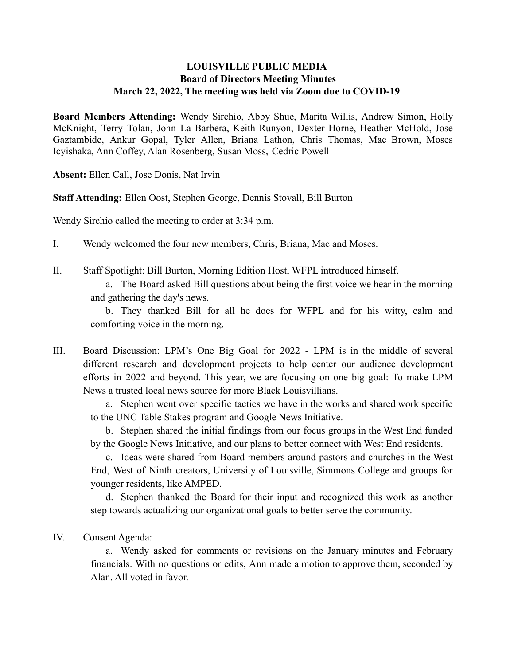## **LOUISVILLE PUBLIC MEDIA Board of Directors Meeting Minutes March 22, 2022, The meeting was held via Zoom due to COVID-19**

**Board Members Attending:** Wendy Sirchio, Abby Shue, Marita Willis, Andrew Simon, Holly McKnight, Terry Tolan, John La Barbera, Keith Runyon, Dexter Horne, Heather McHold, Jose Gaztambide, Ankur Gopal, Tyler Allen, Briana Lathon, Chris Thomas, Mac Brown, Moses Icyishaka, Ann Coffey, Alan Rosenberg, Susan Moss, Cedric Powell

**Absent:** Ellen Call, Jose Donis, Nat Irvin

**Staff Attending:** Ellen Oost, Stephen George, Dennis Stovall, Bill Burton

Wendy Sirchio called the meeting to order at 3:34 p.m.

I. Wendy welcomed the four new members, Chris, Briana, Mac and Moses.

II. Staff Spotlight: Bill Burton, Morning Edition Host, WFPL introduced himself.

a. The Board asked Bill questions about being the first voice we hear in the morning and gathering the day's news.

b. They thanked Bill for all he does for WFPL and for his witty, calm and comforting voice in the morning.

III. Board Discussion: LPM's One Big Goal for 2022 - LPM is in the middle of several different research and development projects to help center our audience development efforts in 2022 and beyond. This year, we are focusing on one big goal: To make LPM News a trusted local news source for more Black Louisvillians.

a. Stephen went over specific tactics we have in the works and shared work specific to the UNC Table Stakes program and Google News Initiative.

b. Stephen shared the initial findings from our focus groups in the West End funded by the Google News Initiative, and our plans to better connect with West End residents.

c. Ideas were shared from Board members around pastors and churches in the West End, West of Ninth creators, University of Louisville, Simmons College and groups for younger residents, like AMPED.

d. Stephen thanked the Board for their input and recognized this work as another step towards actualizing our organizational goals to better serve the community.

IV. Consent Agenda:

a. Wendy asked for comments or revisions on the January minutes and February financials. With no questions or edits, Ann made a motion to approve them, seconded by Alan. All voted in favor.